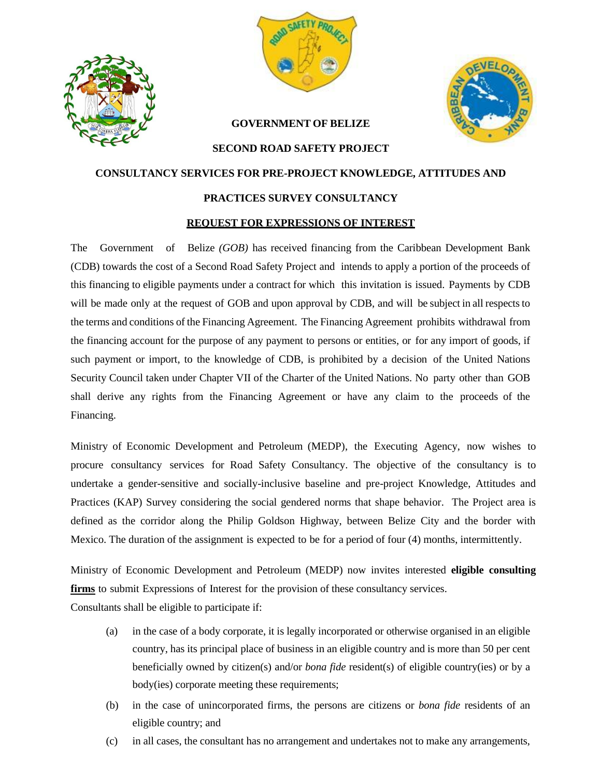



### **GOVERNMENT OF BELIZE**



#### **SECOND ROAD SAFETY PROJECT**

# **CONSULTANCY SERVICES FOR PRE-PROJECT KNOWLEDGE, ATTITUDES AND**

#### **PRACTICES SURVEY CONSULTANCY**

#### **REQUEST FOR EXPRESSIONS OF INTEREST**

The Government of Belize *(GOB)* has received financing from the Caribbean Development Bank (CDB) towards the cost of a Second Road Safety Project and intends to apply a portion of the proceeds of this financing to eligible payments under a contract for which this invitation is issued. Payments by CDB will be made only at the request of GOB and upon approval by CDB, and will be subject in all respects to the terms and conditions of the Financing Agreement. The Financing Agreement prohibits withdrawal from the financing account for the purpose of any payment to persons or entities, or for any import of goods, if such payment or import, to the knowledge of CDB, is prohibited by a decision of the United Nations Security Council taken under Chapter VII of the Charter of the United Nations. No party other than GOB shall derive any rights from the Financing Agreement or have any claim to the proceeds of the Financing.

Ministry of Economic Development and Petroleum (MEDP), the Executing Agency, now wishes to procure consultancy services for Road Safety Consultancy. The objective of the consultancy is to undertake a gender-sensitive and socially-inclusive baseline and pre-project Knowledge, Attitudes and Practices (KAP) Survey considering the social gendered norms that shape behavior. The Project area is defined as the corridor along the Philip Goldson Highway, between Belize City and the border with Mexico. The duration of the assignment is expected to be for a period of four (4) months, intermittently.

Ministry of Economic Development and Petroleum (MEDP) now invites interested **eligible consulting firms** to submit Expressions of Interest for the provision of these consultancy services.

Consultants shall be eligible to participate if:

- (a) in the case of a body corporate, it is legally incorporated or otherwise organised in an eligible country, has its principal place of business in an eligible country and is more than 50 per cent beneficially owned by citizen(s) and/or *bona fide* resident(s) of eligible country(ies) or by a body(ies) corporate meeting these requirements;
- (b) in the case of unincorporated firms, the persons are citizens or *bona fide* residents of an eligible country; and
- (c) in all cases, the consultant has no arrangement and undertakes not to make any arrangements,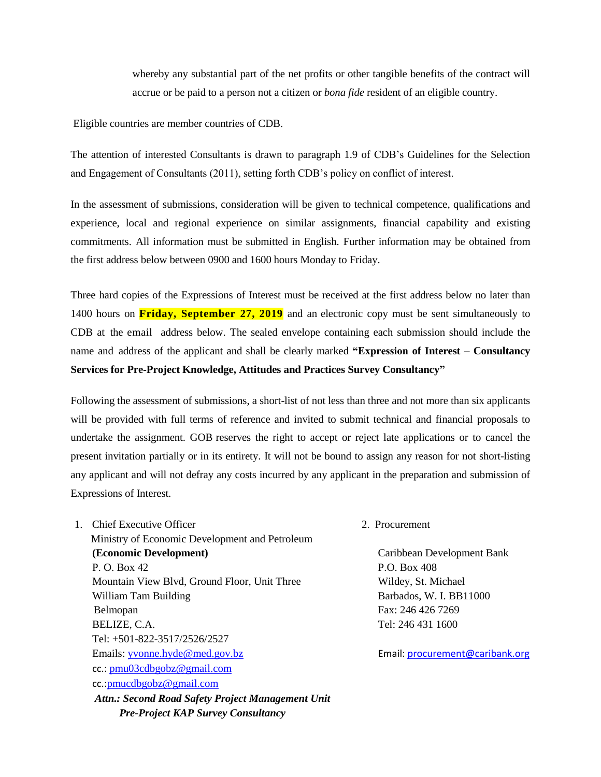whereby any substantial part of the net profits or other tangible benefits of the contract will accrue or be paid to a person not a citizen or *bona fide* resident of an eligible country.

Eligible countries are member countries of CDB.

The attention of interested Consultants is drawn to paragraph 1.9 of CDB's Guidelines for the Selection and Engagement of Consultants (2011), setting forth CDB's policy on conflict of interest.

In the assessment of submissions, consideration will be given to technical competence, qualifications and experience, local and regional experience on similar assignments, financial capability and existing commitments. All information must be submitted in English. Further information may be obtained from the first address below between 0900 and 1600 hours Monday to Friday.

Three hard copies of the Expressions of Interest must be received at the first address below no later than 1400 hours on **Friday, September 27, 2019** and an electronic copy must be sent simultaneously to CDB at the email address below. The sealed envelope containing each submission should include the name and address of the applicant and shall be clearly marked **"Expression of Interest – Consultancy Services for Pre-Project Knowledge, Attitudes and Practices Survey Consultancy"**

Following the assessment of submissions, a short-list of not less than three and not more than six applicants will be provided with full terms of reference and invited to submit technical and financial proposals to undertake the assignment. GOB reserves the right to accept or reject late applications or to cancel the present invitation partially or in its entirety. It will not be bound to assign any reason for not short-listing any applicant and will not defray any costs incurred by any applicant in the preparation and submission of Expressions of Interest.

- 1. Chief Executive Officer 2. Procurement Ministry of Economic Development and Petroleum **(Economic Development)** Caribbean Development Bank P. O. Box 42 P.O. Box 408 Mountain View Blvd, Ground Floor, Unit Three Wildey, St. Michael William Tam Building **Barbados**, W. I. BB11000 Belmopan Fax: 246 426 7269 BELIZE, C.A. Tel: 246 431 1600 Tel: +501-822-3517/2526/2527 Emails: [yvonne.hyde@med.gov.bz](mailto:ceo@med.gov.bz) Email: [procurement@caribank.org](file:///E:/Second%20Road%20Safety%20Project/RSP%202%202019/CDB/SPNs/CDB%20Feedback/procurement@caribank.org) cc.: [pmu03cdbgobz@gmail.com](mailto:pmu03cdbgobz@gmail.com) cc.:[pmucdbgobz@gmail.com](mailto:pmucdbgobz@gmail.com) *Attn.: Second Road Safety Project Management Unit Pre-Project KAP Survey Consultancy*
-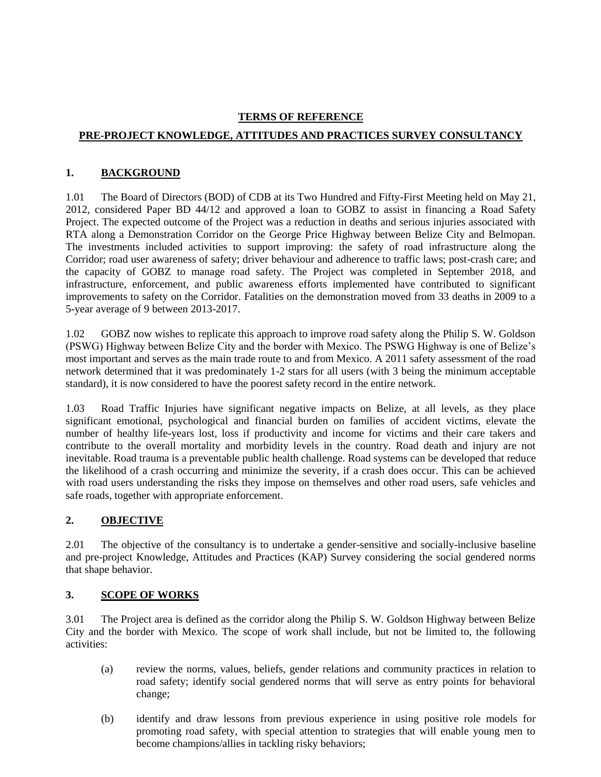## **TERMS OF REFERENCE**

# **PRE-PROJECT KNOWLEDGE, ATTITUDES AND PRACTICES SURVEY CONSULTANCY**

# **1. BACKGROUND**

1.01 The Board of Directors (BOD) of CDB at its Two Hundred and Fifty-First Meeting held on May 21, 2012, considered Paper BD 44/12 and approved a loan to GOBZ to assist in financing a Road Safety Project. The expected outcome of the Project was a reduction in deaths and serious injuries associated with RTA along a Demonstration Corridor on the George Price Highway between Belize City and Belmopan. The investments included activities to support improving: the safety of road infrastructure along the Corridor; road user awareness of safety; driver behaviour and adherence to traffic laws; post-crash care; and the capacity of GOBZ to manage road safety. The Project was completed in September 2018, and infrastructure, enforcement, and public awareness efforts implemented have contributed to significant improvements to safety on the Corridor. Fatalities on the demonstration moved from 33 deaths in 2009 to a 5-year average of 9 between 2013-2017.

1.02 GOBZ now wishes to replicate this approach to improve road safety along the Philip S. W. Goldson (PSWG) Highway between Belize City and the border with Mexico. The PSWG Highway is one of Belize's most important and serves as the main trade route to and from Mexico. A 2011 safety assessment of the road network determined that it was predominately 1-2 stars for all users (with 3 being the minimum acceptable standard), it is now considered to have the poorest safety record in the entire network.

1.03 Road Traffic Injuries have significant negative impacts on Belize, at all levels, as they place significant emotional, psychological and financial burden on families of accident victims, elevate the number of healthy life-years lost, loss if productivity and income for victims and their care takers and contribute to the overall mortality and morbidity levels in the country. Road death and injury are not inevitable. Road trauma is a preventable public health challenge. Road systems can be developed that reduce the likelihood of a crash occurring and minimize the severity, if a crash does occur. This can be achieved with road users understanding the risks they impose on themselves and other road users, safe vehicles and safe roads, together with appropriate enforcement.

# **2. OBJECTIVE**

2.01 The objective of the consultancy is to undertake a gender-sensitive and socially-inclusive baseline and pre-project Knowledge, Attitudes and Practices (KAP) Survey considering the social gendered norms that shape behavior.

## **3. SCOPE OF WORKS**

3.01 The Project area is defined as the corridor along the Philip S. W. Goldson Highway between Belize City and the border with Mexico. The scope of work shall include, but not be limited to, the following activities:

- (a) review the norms, values, beliefs, gender relations and community practices in relation to road safety; identify social gendered norms that will serve as entry points for behavioral change;
- (b) identify and draw lessons from previous experience in using positive role models for promoting road safety, with special attention to strategies that will enable young men to become champions/allies in tackling risky behaviors;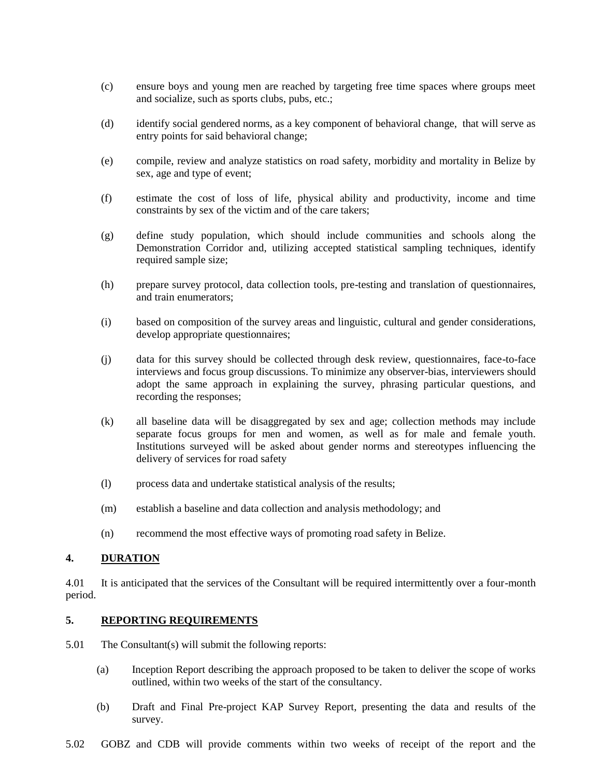- (c) ensure boys and young men are reached by targeting free time spaces where groups meet and socialize, such as sports clubs, pubs, etc.;
- (d) identify social gendered norms, as a key component of behavioral change, that will serve as entry points for said behavioral change;
- (e) compile, review and analyze statistics on road safety, morbidity and mortality in Belize by sex, age and type of event;
- (f) estimate the cost of loss of life, physical ability and productivity, income and time constraints by sex of the victim and of the care takers;
- (g) define study population, which should include communities and schools along the Demonstration Corridor and, utilizing accepted statistical sampling techniques, identify required sample size;
- (h) prepare survey protocol, data collection tools, pre-testing and translation of questionnaires, and train enumerators;
- (i) based on composition of the survey areas and linguistic, cultural and gender considerations, develop appropriate questionnaires;
- (j) data for this survey should be collected through desk review, questionnaires, face-to-face interviews and focus group discussions. To minimize any observer-bias, interviewers should adopt the same approach in explaining the survey, phrasing particular questions, and recording the responses;
- (k) all baseline data will be disaggregated by sex and age; collection methods may include separate focus groups for men and women, as well as for male and female youth. Institutions surveyed will be asked about gender norms and stereotypes influencing the delivery of services for road safety
- (l) process data and undertake statistical analysis of the results;
- (m) establish a baseline and data collection and analysis methodology; and
- (n) recommend the most effective ways of promoting road safety in Belize.

### **4. DURATION**

4.01 It is anticipated that the services of the Consultant will be required intermittently over a four-month period.

#### **5. REPORTING REQUIREMENTS**

- 5.01 The Consultant(s) will submit the following reports:
	- (a) Inception Report describing the approach proposed to be taken to deliver the scope of works outlined, within two weeks of the start of the consultancy.
	- (b) Draft and Final Pre-project KAP Survey Report, presenting the data and results of the survey.
- 5.02 GOBZ and CDB will provide comments within two weeks of receipt of the report and the